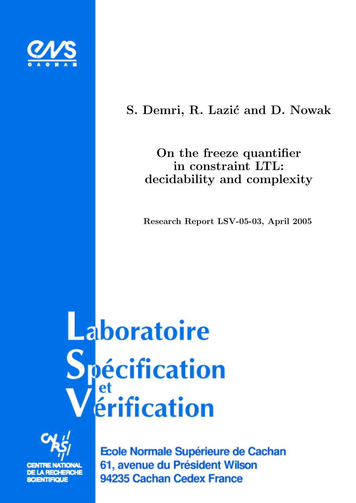

# S. Demri, R. Lazić and D. Nowak

# On the freeze quantifier in constraint LTL: decidability and complexity

Research Report LSV-05-03, April 2005

# Laboratoire **Spécification**<br>Vérification



Ecole Normale Supérieure de Cachan 61, avenue du Président Wilson 94235 Cachan Cedex France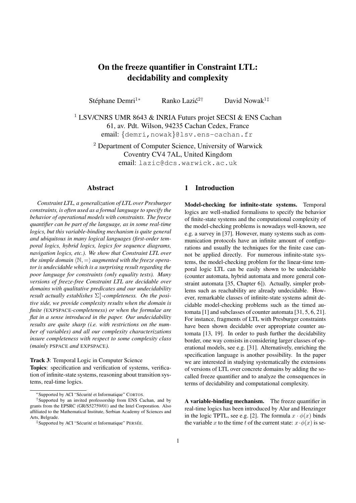## On the freeze quantifier in Constraint LTL: decidability and complexity

Stéphane Demri<sup>1∗</sup> Ranko Lazić<sup>2†</sup> David Nowak<sup>1‡</sup>

<sup>1</sup> LSV/CNRS UMR 8643 & INRIA Futurs projet SECSI & ENS Cachan 61, av. Pdt. Wilson, 94235 Cachan Cedex, France email: {demri,nowak}@lsv.ens-cachan.fr

<sup>2</sup> Department of Computer Science, University of Warwick Coventry CV4 7AL, United Kingdom email: lazic@dcs.warwick.ac.uk

#### Abstract

*Constraint LTL, a generalization of LTL over Presburger constraints, is often used as a formal language to specify the behavior of operational models with constraints. The freeze quantifier can be part of the language, as in some real-time logics, but this variable-binding mechanism is quite general and ubiquitous in many logical languages (first-order temporal logics, hybrid logics, logics for sequence diagrams, navigation logics, etc.). We show that Constraint LTL over the simple domain*  $\langle \mathbb{N}, \equiv \rangle$  *augmented with the freeze operator is undecidable which is a surprising result regarding the poor language for constraints (only equality tests). Many versions of freeze-free Constraint LTL are decidable over domains with qualitative predicates and our undecidability result actually establishes*  $\Sigma_1^1$ -*completeness. On the positive side, we provide complexity results when the domain is finite (*EXPSPACE*-completeness) or when the formulae are flat in a sense introduced in the paper. Our undecidability results are quite sharp (i.e. with restrictions on the number of variables) and all our complexity characterizations insure completeness with respect to some complexity class (mainly* PSPACE *and* EXPSPACE*).*

Track 3: Temporal Logic in Computer Science Topics: specification and verification of systems, verification of infinite-state systems, reasoning about transition systems, real-time logics.

\*Supported by ACI "Sécurité et Informatique" CORTOS.

#### 1 Introduction

Model-checking for infinite-state systems. Temporal logics are well-studied formalisms to specify the behavior of finite-state systems and the computational complexity of the model-checking problems is nowadays well-known, see e.g. a survey in [37]. However, many systems such as communication protocols have an infinite amount of configurations and usually the techniques for the finite case cannot be applied directly. For numerous infinite-state systems, the model-checking problem for the linear-time temporal logic LTL can be easily shown to be undecidable (counter automata, hybrid automata and more general constraint automata [35, Chapter 6]). Actually, simpler problems such as reachability are already undecidable. However, remarkable classes of infinite-state systems admit decidable model-checking problems such as the timed automata [1] and subclasses of counter automata [31, 5, 6, 21]. For instance, fragments of LTL with Presburger constraints have been shown decidable over appropriate counter automata [13, 19]. In order to push further the decidability border, one way consists in considering larger classes of operational models, see e.g. [31]. Alternatively, enriching the specification language is another possibility. In the paper we are interested in studying systematically the extensions of versions of LTL over concrete domains by adding the socalled freeze quantifier and to analyze the consequences in terms of decidability and computational complexity.

A variable-binding mechanism. The freeze quantifier in real-time logics has been introduced by Alur and Henzinger in the logic TPTL, see e.g. [2]. The formula  $x \cdot \phi(x)$  binds the variable x to the time t of the current state:  $x \cdot \phi(x)$  is se-

<sup>†</sup>Supported by an invited professorship from ENS Cachan, and by grants from the EPSRC (GR/S52759/01) and the Intel Corporation. Also affiliated to the Mathematical Institute, Serbian Academy of Sciences and Arts, Belørade.

<sup>&</sup>lt;sup>‡</sup>Supported by ACI "Sécurité et Informatique" PERSÉE.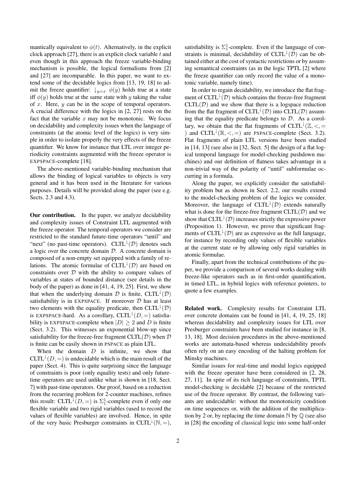mantically equivalent to  $\phi(t)$ . Alternatively, in the explicit clock approach [27], there is an explicit clock variable  $t$  and even though in this approach the freeze variable-binding mechanism is possible, the logical formalisms from [2] and [27] are incomparable. In this paper, we want to extend some of the decidable logics from [13, 19, 18] to admit the freeze quantifier:  $\downarrow_{y=x} \phi(y)$  holds true at a state iff  $\phi(y)$  holds true at the same state with y taking the value of  $x$ . Here,  $y$  can be in the scope of temporal operators. A crucial difference with the logics in [2, 27] rests on the fact that the variable  $x$  may not be monotonic. We focus on decidability and complexity issues when the language of constraints (at the atomic level of the logics) is very simple in order to isolate properly the very effects of the freeze quantifier. We know for instance that LTL over integer periodicity constraints augmented with the freeze operator is EXPSPACE-complete [18].

The above-mentioned variable-binding mechanism that allows the binding of logical variables to objects is very general and it has been used in the literature for various purposes. Details will be provided along the paper (see e.g. Sects. 2.3 and 4.3).

Our contribution. In the paper, we analyze decidability and complexity issues of Constraint LTL augmented with the freeze operator. The temporal operators we consider are restricted to the standard future-time operators "until" and "next" (no past-time operators). CLTL<sup> $\downarrow$ </sup>(D) denotes such a logic over the concrete domain  $D$ . A concrete domain is composed of a non-empty set equipped with a family of relations. The atomic formulae of  $CLTL^{\downarrow}(D)$  are based on constraints over  $D$  with the ability to compare values of variables at states of bounded distance (see details in the body of the paper) as done in [41, 4, 19, 25]. First, we show that when the underlying domain  $D$  is finite, CLTL<sup> $\downarrow$ </sup>( $D$ ) satisfiability is in EXPSPACE. If moreover  $D$  has at least two elements with the equality predicate, then  $CLTL^{\downarrow}(D)$ is EXPSPACE-hard. As a corollary, CLTL<sup> $\downarrow$ </sup>(D, =) satisfiability is EXPSPACE-complete when  $|D| \ge 2$  and D is finite (Sect. 3.2). This witnesses an exponential blow-up since satisfiability for the freeze-free fragment  $CLTL(\mathcal{D})$  when  $\mathcal D$ is finite can be easily shown in PSPACE as plain LTL.

When the domain  $D$  is infinite, we show that CLTL<sup> $\downarrow$ </sup>(*D*, =) is undecidable which is the main result of the paper (Sect. 4). This is quite surprising since the language of constraints is poor (only equality tests) and only futuretime operators are used unlike what is shown in [18, Sect. 7] with past-time operators. Our proof, based on a reduction from the recurring problem for 2-counter machines, refines this result: CLTL<sup> $\downarrow$ </sup>(*D*, =) is  $\Sigma_1^1$ -complete even if only one flexible variable and two rigid variables (used to record the values of flexible variables) are involved. Hence, in spite of the very basic Presburger constraints in CLTL<sup> $\downarrow$ </sup>(N, =),

satisfiability is  $\Sigma_1^1$ -complete. Even if the language of constraints is minimal, decidability of  $CLTL^{\downarrow}(\mathcal{D})$  can be obtained either at the cost of syntactic restrictions or by assuming semantical constraints (as in the logic TPTL [2] where the freeze quantifier can only record the value of a monotonic variable, namely time).

In order to regain decidability, we introduce the flat fragment of  $CLTL^{\downarrow}(D)$  which contains the freeze-free fragment  $CLTL(\mathcal{D})$  and we show that there is a logspace reduction from the flat fragment of CLTL<sup> $\downarrow$ </sup>(D) into CLTL(D) assuming that the equality predicate belongs to  $D$ . As a corollary, we obtain that the flat fragments of CLTL<sup> $\downarrow$ </sup>( $\mathbb{Z}, \leq, =$ ) and CLTL<sup> $\downarrow$ </sup>( $\mathbb{R}, \leq, =$ ) are PSPACE-complete (Sect. 3.2). Flat fragments of plain LTL versions have been studied in [14, 13] (see also in [32, Sect. 5] the design of a flat logical temporal language for model-checking pushdown machines) and our definition of flatness takes advantage in a non-trivial way of the polarity of "until" subformulae occurring in a formula.

Along the paper, we explicitly consider the satisfiability problem but as shown in Sect. 2.2, our results extend to the model-checking problem of the logics we consider. Moreover, the language of  $CLTL^{\downarrow}(\mathcal{D})$  extends naturally what is done for the freeze-free fragment  $CLTL(\mathcal{D})$  and we show that  $CLTL^{\downarrow}(D)$  increases strictly the expressive power (Proposition 1). However, we prove that significant fragments of CLTL<sup> $\downarrow$ </sup>(*D*) are as expressive as the full language, for instance by recording only values of flexible variables at the current state or by allowing only rigid variables in atomic formulae.

Finally, apart from the technical contributions of the paper, we provide a comparison of several works dealing with freeze-like operators such as in first-order quantification, in timed LTL, in hybrid logics with reference pointers, to quote a few examples.

Related work. Complexity results for Constraint LTL over concrete domains can be found in [41, 4, 19, 25, 18] whereas decidability and complexity issues for LTL over Presburger constraints have been studied for instance in [8, 13, 18]. Most decision procedures in the above-mentioned works are automata-based whereas undecidability proofs often rely on an easy encoding of the halting problem for Minsky machines.

Similar issues for real-time and modal logics equipped with the freeze operator have been considered in [2, 28, 27, 11]. In spite of its rich language of constraints, TPTL model-checking is decidable [2] because of the restricted use of the freeze operator. By contrast, the following variants are undecidable: without the monotonicity condition on time sequences or, with the addition of the multiplication by 2 or, by replacing the time domain  $\mathbb N$  by  $\mathbb O$  (see also in [28] the encoding of classical logic into some half-order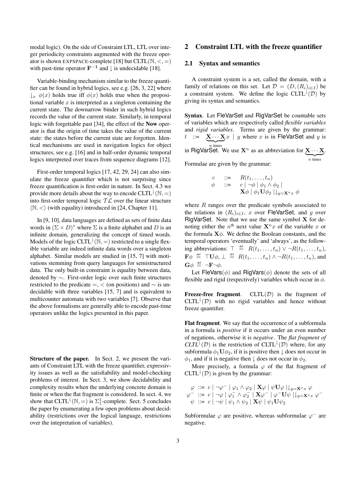modal logic). On the side of Constraint LTL, LTL over integer periodicity constraints augmented with the freeze operator is shown EXPSPACE-complete [18] but  $CLTL(N, <, =)$ with past-time operator  $\mathbf{F}^{-1}$  and  $\downarrow$  is undecidable [18].

Variable-binding mechanism similar to the freeze quantifier can be found in hybrid logics, see e.g. [26, 3, 22] where  $\downarrow_x$   $\phi(x)$  holds true iff  $\phi(x)$  holds true when the propositional variable  $x$  is interpreted as a singleton containing the current state. The downarrow binder in such hybrid logics records the value of the current state. Similarly, in temporal logic with forgettable past [34], the effect of the Now operator is that the origin of time takes the value of the current state: the states before the current state are forgotten. Identical mechanisms are used in navigation logics for object structures, see e.g. [16] and in half-order dynamic temporal logics interpreted over traces from sequence diagrams [12].

First-order temporal logics [17, 42, 29, 24] can also simulate the freeze quantifier which is not surprising since freeze quantification is first-order in nature. In Sect. 4.3 we provide more details about the way to encode  $CLTL^{\downarrow}(N, =)$ into first-order temporal logic  $TL$  over the linear structure  $\langle \mathbb{N}, \langle \rangle$  (with equality) introduced in [24, Chapter 11].

In [9, 10], data languages are defined as sets of finite data words in  $(\Sigma \times D)^*$  where  $\Sigma$  is a finite alphabet and D is an infinite domain, generalizing the concept of timed words. Models of the logic CLTL<sup> $\downarrow$ </sup>(N, =) restricted to a single flexible variable are indeed infinite data words over a singleton alphabet. Similar models are studied in [15, 7] with motivations stemming from query languages for semistructured data. The only built-in constraint is equality between data, denoted by ∼. First-order logic over such finite structures restricted to the predicate =,  $\lt$  (on positions) and  $\sim$  is undecidable with three variables [15, 7] and is equivalent to multicounter automata with two variables [7]. Observe that the above formalisms are generally able to encode past-time operators unlike the logics presented in this paper.

Structure of the paper. In Sect. 2, we present the variants of Constraint LTL with the freeze quantifier, expressivity issues as well as the satisfiability and model-checking problems of interest. In Sect. 3, we show decidability and complexity results when the underlying concrete domain is finite or when the flat fragment is considered. In sect. 4, we show that CLTL<sup> $\downarrow$ </sup>( $\mathbb{N}, =$ ) is  $\Sigma_1^1$ -complete. Sect. 5 concludes the paper by enumerating a few open problems about decidability (restrictions over the logical language, restrictions over the intepretation of variables).

#### 2 Constraint LTL with the freeze quantifier

#### 2.1 Syntax and semantics

A constraint system is a set, called the domain, with a family of relations on this set. Let  $\mathcal{D} = (D, (R_i)_{i \in I})$  be a constraint system. We define the logic CLTL<sup> $\downarrow$ </sup>(D) by giving its syntax and semantics.

Syntax. Let FleVarSet and RigVarSet be countable sets of variables which are respectively called *flexible variables* and *rigid variables*. Terms are given by the grammar:  $t$  ::=  $\widetilde{\phantom{a}^{1}}$  $\frac{\mathbf{x} \cdots \mathbf{x}}{n \text{ times}} x$  | y where x is in FleVarSet and y is in RigVarSet. We use  $X^n$  as an abbreviation for  $\underbrace{X \cdots X}_{n \text{ times}}$ . Formulae are given by the grammar:

$$
c ::= R(t_1, ..., t_n)
$$
  
\n
$$
\phi ::= c | \neg \phi | \phi_1 \land \phi_2 |
$$
  
\n
$$
\mathbf{X} \phi | \phi_1 \mathbf{U} \phi_2 | |_{y=\mathbf{X}^n x} \phi
$$

where  $R$  ranges over the predicate symbols associated to the relations in  $(R_i)_{i \in I}$ , x over FleVarSet, and y over RigVarSet. Note that we use the same symbol  $X$  for denoting either the  $n^{\text{th}}$  next value  $X^n x$  of the variable x or the formula  $\mathbf{X}\phi$ . We define the Boolean constants, and the temporal operators 'eventually' and 'always', as the following abbreviations:  $\top \stackrel{\text{def}}{=} R(t_1,\ldots,t_n) \vee \neg R(t_1,\ldots,t_n),$  $\mathbf{F}\phi \stackrel{\text{def}}{=} \mathsf{T}\mathbf{U}\phi, \perp \stackrel{\text{def}}{=} R(t_1,\ldots,t_n) \wedge \neg R(t_1,\ldots,t_n)$ , and  $\mathbf{G}\phi \stackrel{\text{def}}{=} \neg \mathbf{F} \neg \phi.$ 

Let FleVars( $\phi$ ) and RigVars( $\phi$ ) denote the sets of all flexible and rigid (respectively) variables which occur in  $\phi$ .

**Freeze-free fragment.** CLTL $(D)$  is the fragment of  $CLTL<sup>{\downarrow}</sup>(D)$  with no rigid variables and hence without freeze quantifier.

Flat fragment. We say that the occurrence of a subformula in a formula is *positive* if it occurs under an even number of negations, otherwise it is *negative*. The *flat fragment of*  $CLTL^{\downarrow}(D)$  is the restriction of  $CLTL^{\downarrow}(D)$  where, for any subformula  $\phi_1 \mathbf{U} \phi_2$ , if it is positive then  $\downarrow$  does not occur in  $\phi_1$ , and if it is negative then  $\downarrow$  does not occur in  $\phi_2$ .

More precisely, a formula  $\varphi$  of the flat fragment of CLTL<sup> $\downarrow$ </sup>(D) is given by the grammar:

$$
\varphi ::= c | \neg \varphi^- | \varphi_1 \wedge \varphi_2 | \mathbf{X} \varphi | \psi \mathbf{U} \varphi | |_{y=\mathbf{X}^n x} \varphi
$$
  

$$
\varphi^- ::= c | \neg \varphi | \varphi_1^- \wedge \varphi_2^- | \mathbf{X} \varphi^- | \varphi^- \mathbf{U} \psi | |_{y=\mathbf{X}^n x} \varphi^-
$$
  

$$
\psi ::= c | \neg \psi | \psi_1 \wedge \psi_2 | \mathbf{X} \psi | \psi_1 \mathbf{U} \psi_2
$$

Subformulae  $\varphi$  are positive, whereas subformulae  $\varphi^-$  are negative.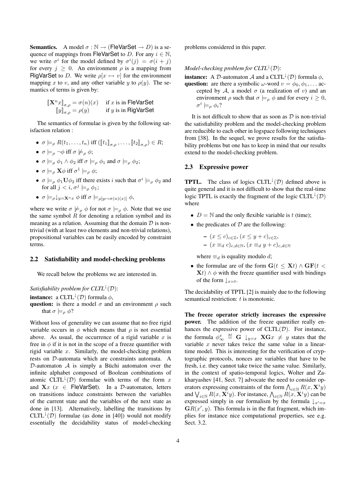**Semantics.** A model  $\sigma : \mathbb{N} \to (\text{FleVarSet} \to D)$  is a sequence of mappings from FleVarSet to D. For any  $i \in \mathbb{N}$ , we write  $\sigma^i$  for the model defined by  $\sigma^i(j) = \sigma(i + j)$ for every  $j \geq 0$ . An environment  $\rho$  is a mapping from RigVarSet to D. We write  $\rho[x \mapsto v]$  for the environment mapping x to v, and any other variable y to  $\rho(y)$ . The semantics of terms is given by:

$$
\begin{aligned} [\![\mathbf{X}^n x]\!]_{\sigma,\rho} &= \sigma(n)(x) &\quad\text{if } x \text{ is in FleVarSet} \\ \text{[![} y\text{]}_{\sigma,\rho} &= \rho(y) &\quad\text{if } y \text{ is in RigVarSet} \end{aligned}
$$

The semantics of formulae is given by the following satisfaction relation :

- $\sigma \models_{\rho} R(t_1,\ldots,t_n)$  iff  $(\llbracket t_1 \rrbracket_{\sigma,\rho},\ldots,\llbracket t_2 \rrbracket_{\sigma,\rho}) \in R;$
- $\sigma \models_{\rho} \neg \phi$  iff  $\sigma \not\models_{\rho} \phi$ ;
- $\sigma \models_{\rho} \phi_1 \wedge \phi_2$  iff  $\sigma \models_{\rho} \phi_1$  and  $\sigma \models_{\rho} \phi_2$ ;
- $\sigma \models_{\rho} \mathbf{X} \phi$  iff  $\sigma^1 \models_{\rho} \phi$ ;
- $\sigma \models_0 \phi_1 \mathbf{U} \phi_2$  iff there exists i such that  $\sigma^i \models_0 \phi_2$  and for all  $j < i, \sigma^j \models_{\alpha} \phi_1$ ;
- $\sigma \models_{\rho} \downarrow_{y=X^n x} \phi$  iff  $\sigma \models_{\rho[y \mapsto \sigma(n)(x)]} \phi$ ,

where we write  $\sigma \not\models_{\rho} \phi$  for not  $\sigma \models_{\rho} \phi$ . Note that we use the same symbol  $R$  for denoting a relation symbol and its meaning as a relation. Assuming that the domain  $\mathcal D$  is nontrivial (with at least two elements and non-trivial relations), propositional variables can be easily encoded by constraint terms.

#### 2.2 Satisfiability and model-checking problems

We recall below the problems we are interested in.

*Satisfiability problem for*  $CLTL^{\downarrow}(D)$ :

**instance:** a CLTL<sup> $\downarrow$ </sup>(D) formula  $\phi$ ,

question: is there a model  $\sigma$  and an environment  $\rho$  such that  $\sigma \models_{\rho} \phi$ ?

Without loss of generality we can assume that no free rigid variable occurs in  $\phi$  which means that  $\rho$  is not essential above. As usual, the occurrence of a rigid variable  $x$  is free in  $\phi$  if it is not in the scope of a freeze quantifier with rigid variable x. Similarly, the model-checking problem rests on D-automata which are constraints automata. A D-automaton  $A$  is simply a Büchi automaton over the infinite alphabet composed of Boolean combinations of atomic CLTL<sup> $\downarrow$ </sup>(D) formulae with terms of the form x and  $\mathbf{X}x$  ( $x \in \text{FleVarSet}$ ). In a D-automaton, letters on transitions induce constraints between the variables of the current state and the variables of the next state as done in [13]. Alternatively, labelling the transitions by  $CLTL^{\downarrow}(\mathcal{D})$  formulae (as done in [40]) would not modify essentially the decidability status of model-checking problems considered in this paper.

#### *Model-checking problem for*  $CLTL^{\downarrow}(D)$ *:*

**instance:** A D-automaton A and a CLTL<sup> $\downarrow$ </sup>(D) formula  $\phi$ ,

question: are there a symbolic  $\omega$ -word  $v = \phi_0, \phi_1, \dots$  accepted by A, a model  $\sigma$  (a realization of v) and an environment  $\rho$  such that  $\sigma \models_{\rho} \phi$  and for every  $i \geq 0$ ,  $\sigma^i \models_{\rho} \phi_i$ ?

It is not difficult to show that as soon as  $D$  is non-trivial the satisfiability problem and the model-checking problem are reducible to each other in logspace following techniques from [38]. In the sequel, we prove results for the satisfiability problems but one has to keep in mind that our results extend to the model-checking problem.

#### 2.3 Expressive power

**TPTL.** The class of logics CLTL<sup> $\downarrow$ </sup>(D) defined above is quite general and it is not difficult to show that the real-time logic TPTL is exactly the fragment of the logic CLTL<sup> $\downarrow$ </sup>(D) where

- $D = N$  and the only flexible variable is t (time);
- $\bullet$  the predicates of  $D$  are the following:

- 
$$
(x \le c)_{c \in \mathbb{Z}}
$$
,  $(x \le y + c)_{c \in \mathbb{Z}}$ ,  
\n-  $(x \equiv_d c)_{c,d \in \mathbb{N}}$ ,  $(x \equiv_d y + c)_{c,d \in \mathbb{N}}$ 

where  $\equiv_d$  is equality modulo d;

• the formulae are of the form  $G(t < \mathbf{X}t) \wedge GF(t <$  $\mathbf{X}t \wedge \phi$  with the freeze quantifier used with bindings of the form  $\downarrow_{x=t}$ .

The decidability of TPTL [2] is mainly due to the following semantical restriction: t is monotonic.

The freeze operator strictly increases the expressive power. The addition of the freeze quantifier really enhances the expressive power of  $CLTL(\mathcal{D})$ . For instance, the formula  $\phi^x_{\infty} \stackrel{\text{def}}{=} G \downarrow_{y=x} \mathbf{X} Gx \neq y$  states that the variable x never takes twice the same value in a lineartime model. This is interesting for the verification of cryptographic protocols, nonces are variables that have to be fresh, i.e. they cannot take twice the same value. Similarly, in the context of spatio-temporal logics, Wolter and Zakharyashev [41, Sect. 7] advocate the need to consider operators expressing constraints of the form  $\bigwedge_{i \in \mathbb{N}} R(x, \mathbf{X}^i y)$ and  $\bigvee_{i\in\mathbb{N}} R(x, \mathbf{X}^i y)$ . For instance,  $\bigwedge_{i\in\mathbb{N}} R(x, \mathbf{X}^i y)$  can be expressed simply in our formalism by the formula  $\downarrow_{x'=x}$  $GR(x', y)$ . This formula is in the flat fragment, which implies for instance nice computational properties, see e.g. Sect. 3.2.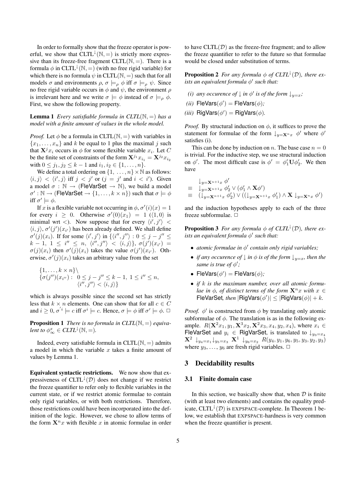In order to formally show that the freeze operator is powerful, we show that  $CLTL^{\downarrow}(N, =)$  is strictly more expressive than its freeze-free fragment CLTL $(N, =)$ . There is a formula  $\phi$  in CLTL<sup> $\downarrow$ </sup>(N, =) (with no free rigid variable) for which there is no formula  $\psi$  in CLTL( $\mathbb{N}, =$ ) such that for all models  $\sigma$  and environments  $\rho$ ,  $\sigma \models_{\rho} \phi$  iff  $\sigma \models_{\rho} \psi$ . Since no free rigid variable occurs in  $\phi$  and  $\psi$ , the environment  $\rho$ is irrelevant here and we write  $\sigma \models \phi$  instead of  $\sigma \models_{\rho} \phi$ . First, we show the following property.

#### **Lemma 1** *Every satisfiable formula in*  $CLTL(N, =)$  *has a model with a finite amount of values in the whole model.*

*Proof.* Let  $\phi$  be a formula in CLTL( $\mathbb{N}, =$ ) with variables in  ${x_1, \ldots, x_n}$  and k be equal to 1 plus the maximal j such that  $X^{j}x_{i}$  occurs in  $\phi$  for some flexible variable  $x_{i}$ . Let C be the finite set of constraints of the form  $X^{j_1} x_{i_1} = X^{j_2} x_{i_2}$ with  $0 \le j_1, j_2 \le k-1$  and  $i_1, i_2 \in \{1, ..., n\}.$ 

We define a total ordering on  $\{1, \ldots, n\} \times \mathbb{N}$  as follows:  $\langle i, j \rangle < \langle i', j \rangle$  iff  $j < j'$  or  $(j = j'$  and  $i < i'$ ). Given a model  $\sigma : \mathbb{N} \to (\text{FleVarSet} \to \mathbb{N})$ , we build a model  $\sigma' : \mathbb{N} \to (\text{FleVarSet} \to \{1, \ldots, k \times n\})$  such that  $\sigma \models \phi$ iff  $\sigma' \models \phi$ .

If x is a flexible variable not occurring in  $\phi$ ,  $\sigma'(i)(x) = 1$ for every  $i \geq 0$ . Otherwise  $\sigma'(0)(x_1) = 1 \ (\langle 1, 0 \rangle)$  is minimal wrt <). Now suppose that for every  $\langle i', j' \rangle$  <  $\langle i, j \rangle$ ,  $\sigma'(j')(x_{i'})$  has been already defined. We shall define  $\sigma'(j)(x_i)$ . If for some  $\langle i', j' \rangle$  in  $\{\langle i'', j'' \rangle : 0 \le j - j'' \le j''$  $k-1, 1 \leq i'' \leq n, \langle i'', j'' \rangle < \langle i, j \rangle \}, \sigma(j')(x_{i'}) =$  $\sigma(j)(x_i)$  then  $\sigma'(j)(x_i)$  takes the value  $\sigma(j')(x_{i'})$ . Otherwise,  $\sigma'(j)(x_i)$  takes an arbitrary value from the set

$$
\begin{aligned} \{1, \ldots, k \times n\} \backslash \\ \{\sigma(j'')(x_{i''}) : \ 0 \le j - j'' \le k - 1, \ 1 \le i'' \le n, \\ \langle i'', j'' \rangle < \langle i, j \rangle \} \end{aligned}
$$

which is always possible since the second set has strictly less that  $k \times n$  elements. One can show that for all  $c \in C$ and  $i \geq 0$ ,  $\sigma'{}^i \models c$  iff  $\sigma^i \models c$ . Hence,  $\sigma \models \phi$  iff  $\sigma' \models \phi$ .  $\Box$ 

**Proposition 1** *There is no formula in CLTL*( $\mathbb{N}, =$ ) *equivalent to*  $\phi^x_\infty \in CLTL^{\downarrow}(\mathbb{N}, =)$ *.* 

Indeed, every satisfiable formula in  $CLTL(N, =)$  admits a model in which the variable  $x$  takes a finite amount of values by Lemma 1.

Equivalent syntactic restrictions. We now show that expressiveness of CLTL<sup> $\downarrow$ </sup>(D) does not change if we restrict the freeze quantifier to refer only to flexible variables in the current state, or if we restrict atomic formulae to contain only rigid variables, or with both restrictions. Therefore, those restrictions could have been incorporated into the definition of the logic. However, we chose to allow terms of the form  $X^n x$  with flexible x in atomic formulae in order to have  $CLTL(\mathcal{D})$  as the freeze-free fragment; and to allow the freeze quantifier to refer to the future so that formulae would be closed under substitution of terms.

**Proposition 2** *For any formula*  $\phi$  *of CLTL*<sup> $\downarrow$ </sup>(*D*)*, there exists an equivalent formula*  $\phi'$  *such that:* 

*(i) any occurence of*  $\downarrow$  *in*  $\phi'$  *is of the form*  $\downarrow_{y=x}$ *;* 

(*ii*) FleVars(
$$
\phi'
$$
) = FleVars( $\phi$ );

*(iii)*  $\mathsf{RigVars}(\phi') = \mathsf{RigVars}(\phi)$ .

*Proof.* By structural induction on  $\phi$ , it suffices to prove the statement for formulae of the form  $\downarrow_{y=X^n x} \phi'$  where  $\phi'$ satisfies (i).

This can be done by induction on n. The base case  $n = 0$ is trivial. For the inductive step, we use structural induction on  $\phi'$ . The most difficult case is  $\phi' = \phi_1' U \phi_2'$ . We then have

$$
\begin{array}{ll}\n\downarrow_{y=X^{n+1}x} \phi' \\
\equiv & \downarrow_{y=X^{n+1}x} \phi_2' \vee (\phi_1' \wedge \mathbf{X} \phi') \\
\equiv & (\downarrow_{y=X^{n+1}x} \phi_2') \vee ((\downarrow_{y=X^{n+1}x} \phi_1') \wedge \mathbf{X} \downarrow_{y=X^{n}x} \phi')\n\end{array}
$$

and the induction hypotheses apply to each of the three freeze subformulae.  $\square$ 

**Proposition 3** For any formula  $\phi$  of CLTL<sup> $\downarrow$ </sup>(D), there ex*ists an equivalent formula*  $\phi'$  *such that:* 

- *atomic formulae in*  $\phi'$  *contain only rigid variables;*
- *if any occurence of*  $\downarrow$  *in*  $\phi$  *is of the form*  $\downarrow_{y=x}$ *, then the same is true of*  $\phi'$ ;
- FleVars $(\phi')$  = FleVars $(\phi)$ ;
- *if* k *is the maximum number, over all atomic formulae in*  $\phi$ *, of distinct terms of the form*  $X^n x$  *with*  $x \in$  $F$ leVarSet, *then*  $|\text{RigVars}(\phi')| \leq |\text{RigVars}(\phi)| + k$ .

*Proof.*  $\phi'$  is constructed from  $\phi$  by translating only atomic subformulae of  $\phi$ . The translation is as in the following example.  $R(\mathbf{X}^{2}x_1, y_1, \mathbf{X}^{3}x_2, \mathbf{X}^{2}x_3, x_4, y_2, x_4)$ , where  $x_i \in$ FleVarSet and  $y_i \in$  RigVarSet, is translated to  $\downarrow_{y_3=x_4}$  $\mathbf{X}^2 \downarrow_{y_4=x_1} \downarrow_{y_5=x_3} \mathbf{X}^1 \downarrow_{y_6=x_2} R(y_4, y_1, y_6, y_5, y_3, y_2, y_3)$ where  $y_3, \ldots, y_6$  are fresh rigid variables.  $\Box$ 

#### 3 Decidability results

#### 3.1 Finite domain case

In this section, we basically show that, when  $D$  is finite (with at least two elements) and contains the equality predicate, CLTL<sup> $\downarrow$ </sup>(D) is EXPSPACE-complete. In Theorem 1 below, we establish that EXPSPACE-hardness is very common when the freeze quantifier is present.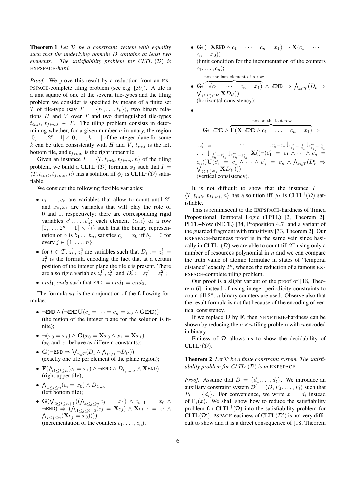Theorem 1 *Let* D *be a constraint system with equality such that the underlying domain* D *contains at least two elements. The satisfiability problem for*  $CLTL^{\downarrow}(D)$  *is* EXPSPACE*-hard.*

*Proof.* We prove this result by a reduction from an EX-PSPACE-complete tiling problem (see e.g. [39]). A tile is a unit square of one of the several tile-types and the tiling problem we consider is specified by means of a finite set T of tile-type (say  $T = \{t_1, \ldots, t_k\}$ ), two binary relations  $H$  and  $V$  over  $T$  and two distinguished tile-types  $t_{init}$ ,  $t_{final} \in T$ . The tiling problem consists in determining whether, for a given number  $n$  in unary, the region  $[0, \ldots, 2^n-1] \times [0, \ldots, k-1]$  of the integer plane for some  $k$  can be tiled consistently with H and V,  $t_{init}$  is the left bottom tile, and  $t_{final}$  is the right upper tile.

Given an instance  $I = \langle T, t_{init}, t_{final}, n \rangle$  of the tiling problem, we build a CLTL<sup> $\downarrow$ </sup>(D) formula  $\phi_I$  such that  $I =$  $\langle T, t_{init}, t_{final}, n \rangle$  has a solution iff  $\phi_I$  is CLTL<sup>1</sup>(D) satisfiable.

We consider the following flexible variables:

- $c_1, \ldots, c_n$  are variables that allow to count until  $2^n$ and  $x_0, x_1$  are variables that will play the role of 0 and 1, respectively; there are corresponding rigid variables  $c'_1, \ldots, c'_n$ ; each element  $\langle \alpha, i \rangle$  of a row  $[0, \ldots, 2^n - 1] \times \{i\}$  such that the binary representation of  $\alpha$  is  $b_1 \dots b_n$ , satisfies  $c_j = x_0$  iff  $b_j = 0$  for every  $j \in \{1, \ldots, n\}$ ;
- for  $t \in T$ ,  $z_t^1$ ,  $z_t^2$  are variables such that  $D_t := z_t^1 =$  $z_t^2$  is the formula encoding the fact that at a certain position of the integer plane the tile  $t$  is present. There are also rigid variables  $z_t^{1'}$ ,  $z_t^{2'}$  and  $D'_t := z_t^{1'} = z_t^{2'}$ ;
- $end_1, end_2$  such that  $END := end_1 = end_2$ ;

The formula  $\phi_I$  is the conjunction of the following formulae:

- $\neg$ END  $\wedge (\neg$ END $\mathbf{U}(c_1 = \cdots = c_n = x_0 \wedge \mathbf{G}$ END) (the region of the integer plane for the solution is finite);
- $\neg(x_0 = x_1) \wedge \mathbf{G}(x_0 = \mathbf{X}x_0 \wedge x_1 = \mathbf{X}x_1)$  $(x_0$  and  $x_1$  behave as different constants);
- $\mathbf{G}(\neg \text{END} \Rightarrow \bigvee_{t \in T} (D_t \land \bigwedge_{t' \neq t} \neg D_{t'}) )$ (exactly one tile per element of the plane region);
- $\mathbf{F}(\bigwedge_{1 \leq i \leq n} (c_i = x_1) \wedge \neg \text{END} \wedge D_{t_{final}} \wedge \mathbf{XEND})$ (right upper tile);
- $\bigwedge_{1 \leq i \leq n} (c_i = x_0) \wedge D_{t_{init}}$ <br>(left bottom tile);
- $G(\bigvee_{1 \leq i \leq n+1} ((\bigwedge_{i \leq j \leq n} c_j = x_1) \land c_{i-1} = x_0 \land c_i$  $\overline{\text{TEND}}$   $\rightarrow$   $(\bigwedge_{1 \leq j \leq i-2} (c_j = \mathbf{X}c_j) \wedge \mathbf{X}c_{i-1} = x_1 \wedge$  $\bigwedge_{i\leq j\leq n} (\mathbf{X}c_j = x_0^{-j}))$ (incrementation of the counters  $c_1, \ldots, c_n$ );

•  $\mathbf{G}((\neg \mathbf{X}\text{END} \wedge c_1 = \cdots = c_n = x_1) \Rightarrow \mathbf{X}(c_1 = \cdots = c_n = x_n)$  $c_n = x_0$ )

(limit condition for the incrementation of the counters  $c_1, \ldots, c_n);$ 

not the last element of a row 
$$
\overline{a}
$$

• G( $\neg(c_1 = \cdots = c_n = x_1)$  ∧ $\neg$ END  $\Rightarrow$   $\bigwedge_{t \in T} (D_t \Rightarrow$  $\bigvee_{\langle t,t' \rangle \in H} \mathbf{X} D_{t'}))$ (horizontal consistency);

•

not on the last row  
\n
$$
\mathbf{G}(\neg \text{END} \land \overbrace{\mathbf{F}(\mathbf{X} \neg \text{END} \land c_1 = \dots = c_n = x_1)}^{\text{not on the last row}} \Rightarrow
$$
\n
$$
\downarrow_{c'_1 = c_1} \dots \downarrow_{c'_n = c_n} \downarrow_{z_{i'_1}^{1'} = z_{i_1}^1} \downarrow_{z_{i'_1}^{2'} = z_{i_1}^2}
$$
\n
$$
\dots \downarrow_{z_{i_k}^{1'} = z_{i_k}^1} \downarrow_{z_{i'_k}^{2'} = z_{i_k}^2} \mathbf{X}((\neg (c'_1 = c_1 \land \dots \land c'_n = c_n)) \mathbf{U}(c'_1 = c_1 \land \dots \land c'_n = c_n \land \bigwedge_{t \in T} (D'_t \Rightarrow \bigvee_{\langle t, t' \rangle \in V} \mathbf{X} D_{t'})))
$$
\n(vertical consistency).

It is not difficult to show that the instance  $I =$  $\langle T, t_{init}, t_{final}, n \rangle$  has a solution iff  $\phi_I$  is CLTL<sup> $\downarrow$ </sup>(D) satisfiable.  $\square$ 

This is reminiscent to the EXPSPACE-hardness of Timed Propositional Temporal Logic (TPTL) [2, Theorem 2], PLTL+Now (NLTL) [34, Proposition 4.7] and a variant of the guarded fragment with transitivity [33, Theorem 2]. Our EXPSPACE-hardness proof is in the same vein since basically in CLTL<sup> $\downarrow$ </sup>(D) we are able to count till  $2^n$  using only a number of resources polynomial in  $n$  and we can compare the truth value of atomic formulae in states of "temporal distance" exactly  $2^n$ , whence the reduction of a famous EX-PSPACE-complete tiling problem.

Our proof is a slight variant of the proof of [18, Theorem 6]: instead of using integer periodicity constraints to count till  $2^n$ , *n* binary counters are used. Observe also that the result formula is not flat because of the encoding of vertical consistency.

If we replace  $U$  by  $F$ , then NEXPTIME-hardness can be shown by reducing the  $n \times n$  tiling problem with n encoded in binary.

Finitess of  $D$  allows us to show the decidability of  $CLTL^{\downarrow}(\mathcal{D}).$ 

Theorem 2 *Let* D *be a finite constraint system. The satisfiability problem for*  $CLTL^{\downarrow}(D)$  *is in* EXPSPACE.

*Proof.* Assume that  $D = \{d_1, \ldots, d_l\}$ . We introduce an auxiliary constraint system  $\mathcal{D}' = \langle D, P_1, \ldots, P_l \rangle$  such that  $P_i = \{d_i\}.$  For convenience, we write  $x = d_i$  instead of  $P_i(x)$ . We shall show how to reduce the satisfiability problem for  $CLTL^{\downarrow}(D)$  into the satisfiability problem for CLTL( $D'$ ). PSPACE-easiness of CLTL( $D'$ ) is not very difficult to show and it is a direct consequence of [18, Theorem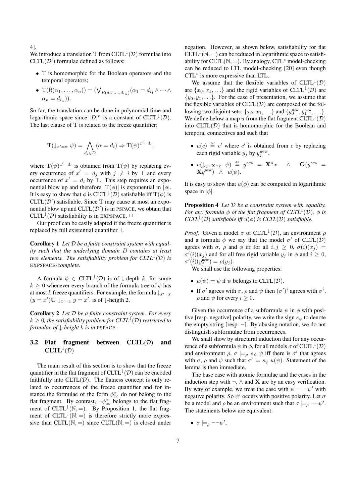4].

We introduce a translation T from  $CLTL^{\downarrow}(\mathcal{D})$  formulae into  $CLTL(\mathcal{D}')$  formulae defined as follows:

- T is homomorphic for the Boolean operators and the temporal operators;
- T(R( $\alpha_1, \ldots, \alpha_n$ )) = ( $\bigvee_{R(d_{i_1}, \ldots, d_{i_n})} (\alpha_1 = d_{i_1} \wedge \cdots \wedge$  $\alpha_n = d_i$ ).

So far, the translation can be done in polynomial time and logarithmic space since  $|D|^n$  is a constant of CLTL<sup>1</sup>(D). The last clause of T is related to the freeze quantifier:

$$
T(\downarrow_{x'=\alpha} \psi) = \bigwedge_{d_i \in D} (\alpha = d_i) \Rightarrow T(\psi)^{x' = d_i},
$$

where  $T(\psi)^{x'=d_i}$  is obtained from  $T(\psi)$  by replacing every occurrence of  $x' = d_j$  with  $j \neq i$  by  $\perp$  and every occurrence of  $x' = d_i$  by  $\top$ . This step requires an exponential blow up and therefore  $|T(\phi)|$  is exponential in  $|\phi|$ . It is easy to show that  $\phi$  is CLTL<sup> $\downarrow$ </sup>(D) satisfiable iff T( $\phi$ ) is  $CLTL(\mathcal{D}')$  satisfiable. Since T may cause at most an exponential blow up and  $CLTL(\mathcal{D}')$  is in PSPACE, we obtain that CLTL<sup> $\downarrow$ </sup>(D) satisfiability is in EXPSPACE.  $\Box$ 

Our proof can be easily adapted if the freeze quantifier is replaced by full existential quantifier ∃.

Corollary 1 *Let* D *be a finite constraint system with equality such that the underlying domain* D *contains at least two* elements. The satisfiability problem for  $CLTL^{\downarrow}(D)$  is EXPSPACE*-complete.*

A formula  $\phi \in \text{CLTL}^{\downarrow}(\mathcal{D})$  is of  $\downarrow$ -depth k, for some  $k \geq 0$  whenever every branch of the formula tree of  $\phi$  has at most k freeze quantifiers. For example, the formula  $\downarrow_{x'=x}$  $(y = x')\mathbf{U}\downarrow_{x'=z} y = x'.$  is of  $\downarrow$ -heigth 2.

Corollary 2 *Let* D *be a finite constraint system. For every*  $k \geq 0$ , the satisfiability problem for  $CLTL^{\downarrow}(D)$  restricted to *formulae of* ↓*-height* k *is in* PSPACE*.*

## 3.2 Flat fragment between  $CLTL(\mathcal{D})$  and  $CLTL^{\downarrow}(\mathcal{D})$

The main result of this section is to show that the freeze quantifier in the flat fragment of  $CLTL^{\downarrow}(D)$  can be encoded faithfully into  $CLTL(\mathcal{D})$ . The flatness concept is only related to occurrences of the freeze quantifier and for instance the formulae of the form  $\phi^x_{\infty}$  do not belong to the flat fragment. By contrast,  $\neg \phi^x_{\infty}$  belongs to the flat fragment of CLTL<sup> $\downarrow$ </sup>(N, =). By Proposition 1, the flat fragment of  $CLTL^{\downarrow}(\mathbb{N}, =)$  is therefore strictly more expressive than CLTL( $\mathbb{N}, =$ ) since CLTL( $\mathbb{N}, =$ ) is closed under negation. However, as shown below, satisfiability for flat CLTL<sup> $\downarrow$ </sup>(N, =) can be reduced in logarithmic space to satisfiability for  $CLTL(N, =)$ . By analogy,  $CTL^*$  model-checking can be reduced to LTL model-checking [20] even though CTL∗ is more expressive than LTL.

We assume that the flexible variables of  $CLTL^{\downarrow}(\mathcal{D})$ are  $\{x_0, x_1, \ldots\}$  and the rigid variables of CLTL<sup> $\downarrow$ </sup>(D) are  $\{y_0, y_1, \ldots\}$ . For the ease of presentation, we assume that the flexible variables of  $CLTL(\mathcal{D})$  are composed of the following two disjoint sets:  $\{x_0, x_1, \ldots\}$  and  $\{y_0^{\text{new}}, y_1^{\text{new}}, \ldots\}$ . We define below a map u from the flat fragment  $CLTL^{\downarrow}(D)$ into  $CLTL(\mathcal{D})$  that is homomorphic for the Boolean and temporal connectives and such that

- $u(c) \stackrel{\text{def}}{=} c'$  where c' is obtained from c by replacing each rigid variable  $y_j$  by  $y_j^{\text{new}}$ ,
- $u(\downarrow_{y=X^n x} \psi) \stackrel{\text{def}}{=} y^{\text{new}} = \mathbf{X}^n x \quad \wedge \quad \mathbf{G}(y^{\text{new}} =$  $\mathbf{X}y^{\text{new}}$ )  $\wedge$   $u(\psi)$ .

It is easy to show that  $u(\phi)$  can be computed in logarithmic space in  $|\phi|$ .

Proposition 4 *Let* D *be a constraint system with equality. For any formula*  $\phi$  *of the flat fragment of CLTL*<sup> $\downarrow$ </sup>(D),  $\phi$  *is CLTL*<sup> $\downarrow$ </sup>(*D*) *satisfiable iff*  $u(\phi)$  *is CLTL*(*D*) *satisfiable.* 

*Proof.* Given a model  $\sigma$  of CLTL<sup> $\downarrow$ </sup>(D), an environment  $\rho$ and a formula  $\phi$  we say that the model  $\sigma'$  of CLTL(D) agrees with  $\sigma$ ,  $\rho$  and  $\phi$  iff for all  $i, j \geq 0$ ,  $\sigma(i)(x_j) =$  $\sigma'(i)(x_j)$  and for all free rigid variable  $y_j$  in  $\phi$  and  $i \geq 0$ ,  $\sigma'(i)(y_j^{\text{new}}) = \rho(y_j).$ 

We shall use the following properties:

- $u(\psi) = \psi$  if  $\psi$  belongs to CLTL(D).
- If  $\sigma'$  agrees with  $\sigma$ ,  $\rho$  and  $\psi$  then  $(\sigma')^i$  agrees with  $\sigma^i$ ,  $\rho$  and  $\psi$  for every  $i > 0$ .

Given the occurrence of a subformula  $\psi$  in  $\phi$  with positive [resp. negative] polarity, we write the sign  $s_{\psi}$  to denote the empty string [resp.  $\neg$ ]. By abusing notation, we do not distinguish subformulae from occurrences.

We shall show by structural induction that for any occurrence of a subformula  $\psi$  in  $\phi$ , for all models  $\sigma$  of CLTL<sup> $\downarrow$ </sup>(D) and environment  $\rho$ ,  $\sigma \models_{\rho} s_{\psi} \psi$  iff there is  $\sigma'$  that agrees with  $\sigma$ ,  $\rho$  and  $\psi$  such that  $\sigma' \models s_{\psi} u(\psi)$ . Statement of the lemma is then immediate.

The base case with atomic formulae and the cases in the induction step with  $\neg$ ,  $\wedge$  and **X** are by an easy verification. By way of example, we treat the case with  $\psi = \neg \psi'$  with negative polarity. So  $\psi'$  occurs with positive polarity. Let  $\sigma$ be a model and  $\rho$  be an environment such that  $\sigma \models_{\rho} \neg \neg \psi'$ . The statements below are equivalent:

 $\bullet$   $\sigma \models_{\rho} \neg \neg \psi',$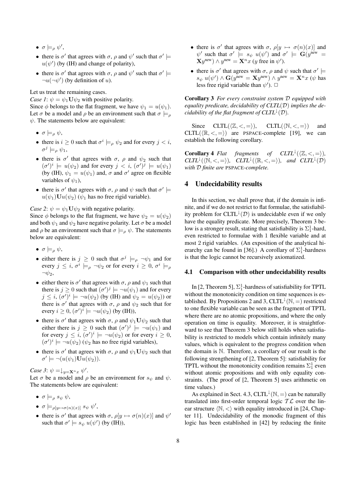- $\bullet\ \sigma \models_{\rho} \psi',$
- there is  $\sigma'$  that agrees with  $\sigma$ ,  $\rho$  and  $\psi'$  such that  $\sigma' \models$  $u(\psi')$  (by (IH) and change of polarity),
- there is  $\sigma'$  that agrees with  $\sigma$ ,  $\rho$  and  $\psi'$  such that  $\sigma' \models$  $\neg u(\neg \psi')$  (by definition of u).

Let us treat the remaining cases.

*Case 1*:  $\psi = \psi_1 \mathbf{U} \psi_2$  with positive polarity. Since  $\phi$  belongs to the flat fragment, we have  $\psi_1 = u(\psi_1)$ . Let  $\sigma$  be a model and  $\rho$  be an environment such that  $\sigma \models_{\rho}$  $\psi$ . The statements below are equivalent:

- $\sigma \models_{\alpha} \psi$ ,
- there is  $i \geq 0$  such that  $\sigma^i \models_{\rho} \psi_2$  and for every  $j < i$ ,  $\sigma^j \models_{\rho} \psi_1$ ,
- there is  $\sigma'$  that agrees with  $\sigma$ ,  $\rho$  and  $\psi_2$  such that  $(\sigma')^i \models u(\psi_2)$  and for every  $j \prec i$ ,  $(\sigma')^j \models u(\psi_1)$ (by (IH),  $\psi_1 = u(\psi_1)$  and,  $\sigma$  and  $\sigma'$  agree on flexible variables of  $\psi_1$ ),
- there is  $\sigma'$  that agrees with  $\sigma$ ,  $\rho$  and  $\psi$  such that  $\sigma' \models$  $u(\psi_1)$ U $u(\psi_2)$  ( $\psi_1$  has no free rigid variable).

*Case* 2:  $\psi = \psi_1 \mathbf{U} \psi_2$  with negative polarity.

Since  $\phi$  belongs to the flat fragment, we have  $\psi_2 = u(\psi_2)$ and both  $\psi_1$  and  $\psi_2$  have negative polarity. Let  $\sigma$  be a model and  $\rho$  be an environment such that  $\sigma \models_{\rho} \psi$ . The statements below are equivalent:

- $\sigma \models_{\rho} \psi$ ,
- either there is  $j \geq 0$  such that  $\sigma^{j} \models_{\rho} \neg \psi_1$  and for every  $j \leq i$ ,  $\sigma^i \models_{\rho} \neg \psi_2$  or for every  $i \geq 0$ ,  $\sigma^i \models_{\rho}$  $\neg \psi_2,$
- either there is  $\sigma'$  that agrees with  $\sigma$ ,  $\rho$  and  $\psi_1$  such that there is  $j \geq 0$  such that  $(\sigma')^j \models \neg u(\psi_1)$  and for every  $j \leq i$ ,  $(\sigma')^i \models \neg u(\psi_2)$  (by (IH) and  $\psi_2 = u(\psi_2)$ ) or there is  $\sigma'$  that agrees with  $\sigma$ ,  $\rho$  and  $\psi_2$  such that for every  $i \geq 0$ ,  $(\sigma')^i \models \neg u(\psi_2)$  (by (IH)),
- there is  $\sigma'$  that agrees with  $\sigma$ ,  $\rho$  and  $\psi_1 \mathbf{U} \psi_2$  such that either there is  $j \geq 0$  such that  $(\sigma')^j \models \neg u(\psi_1)$  and for every  $j \leq i$ ,  $(\sigma')^i \models \neg u(\psi_2)$  or for every  $i \geq 0$ ,  $(\sigma')^i \models \neg u(\psi_2)$  ( $\psi_2$  has no free rigid variables),
- there is  $\sigma'$  that agrees with  $\sigma$ ,  $\rho$  and  $\psi_1 \mathbf{U} \psi_2$  such that  $\sigma' \models \neg(u(\psi_1)\mathbf{U}u(\psi_2)).$

*Case* 3:  $\psi = \int_{y=X^n} x \psi'$ .

Let  $\sigma$  be a model and  $\rho$  be an environment for  $s_{\psi}$  and  $\psi$ . The statements below are equivalent:

- $\sigma \models_{\alpha} s_{\psi} \psi$ ,
- $\bullet$   $\sigma \models_{\rho[y \mapsto \sigma(n)(x)]} s_{\psi} \psi',$
- there is  $\sigma'$  that agrees with  $\sigma$ ,  $\rho[y \mapsto \sigma(n)(x)]$  and  $\psi'$ such that  $\sigma' \models s_{\psi} u(\psi')$  (by (IH)),
- there is  $\sigma'$  that agrees with  $\sigma$ ,  $\rho[y \mapsto \sigma(n)(x)]$  and  $\psi'$  such that  $\sigma' \models s_{\psi} u(\psi')$  and  $\sigma' \models G(y^{new} =$  $\mathbf{X}y^{\text{new}}$ )  $\wedge y^{\text{new}} = \mathbf{X}^n x$  (y free in  $\psi'$ ).
- there is  $\sigma'$  that agrees with  $\sigma$ ,  $\rho$  and  $\psi$  such that  $\sigma' \models$  $s_{\psi} u(\psi') \wedge \mathbf{G}(y^{\text{new}} = \mathbf{X} y^{\text{new}}) \wedge y^{\text{new}} = \mathbf{X}^n x \ (\psi \text{ has } y)$ less free rigid variable than  $\psi'$ ).  $\Box$

Corollary 3 *For every constraint system* D *equipped with equality predicate, decidability of CLTL*(D) *implies the decidability of the flat fragment of*  $CLTL^{\downarrow}(D)$ *.* 

Since  $CLTL(\langle \mathbb{Z}, \langle = \rangle),$   $CLTL(\langle \mathbb{N}, \langle = \rangle)$  and CLTL( $(\mathbb{R}, \leq, =)$ ) are PSPACE-complete [19], we can establish the following corollary.

**Corollary 4** *Flat fragments of*  $CLTL^{\downarrow}(\langle \mathbb{Z}, \langle \rangle = \rangle)$ *,*  $CLTL^{\downarrow}(\langle \mathbb{N}, \langle \cdot, = \rangle), \quad CLTL^{\downarrow}(\langle \mathbb{R}, \langle \cdot, = \rangle), \text{ and } CLTL^{\downarrow}(\mathcal{D})$ *with* D *finite are* PSPACE*-complete.*

#### 4 Undecidability results

In this section, we shall prove that, if the domain is infinite, and if we do not restrict to flat formulae, the satisfiability problem for CLTL<sup> $\downarrow$ </sup>(*D*) is undecidable even if we only have the equality predicate. More precisely, Theorem 3 below is a stronger result, stating that satisfiability is  $\Sigma_1^1$ -hard, even restricted to formulae with 1 flexible variable and at most 2 rigid variables. (An exposition of the analytical hierarchy can be found in [36].) A corollary of  $\Sigma_1^1$ -hardness is that the logic cannot be recursively axiomatized.

#### 4.1 Comparison with other undecidability results

In [2, Theorem 5],  $\Sigma_1^1$ -hardness of satisfiability for TPTL without the monotonicity condition on time sequences is established. By Propositions 2 and 3,  $CLTL^{\downarrow}(\mathbb{N}, =)$  restricted to one flexible variable can be seen as the fragment of TPTL where there are no atomic propositions, and where the only operation on time is equality. Moreover, it is straightforward to see that Theorem 3 below still holds when satisfiability is restricted to models which contain infinitely many values, which is equivalent to the progress condition when the domain is N. Therefore, a corollary of our result is the following strengthening of [2, Theorem 5]: satisfiability for TPTL without the monotonicity condition remains  $\Sigma_1^1$  even without atomic propositions and with only equality constraints. (The proof of [2, Theorem 5] uses arithmetic on time values.)

As explained in Sect. 4.3, CLTL<sup> $\downarrow$ </sup>(N, =) can be naturally translated into first-order temporal logic  $TL$  over the linear structure  $\langle \mathbb{N}, \langle \rangle$  with equality introduced in [24, Chapter 11]. Undecidability of the monodic fragment of this logic has been established in [42] by reducing the finite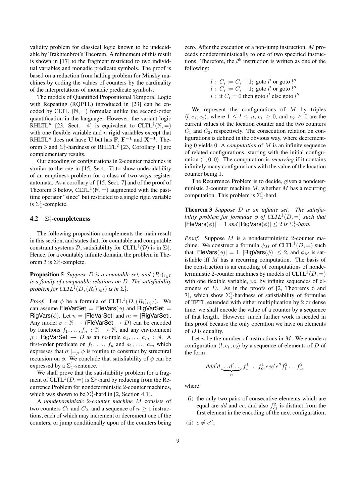validity problem for classical logic known to be undecidable by Trakhtenbrot's Theorem. A refinement of this result is shown in [17] to the fragment restricted to two individual variables and monadic predicate symbols. The proof is based on a reduction from halting problem for Minsky machines by coding the values of counters by the cardinality of the interpretations of monadic predicate symbols.

The models of Quantified Propositional Temporal Logic with Repeating (ROPTL) introduced in [23] can be encoded by  $CLTL^{\downarrow}(\mathbb{N}, =)$  formulae unlike the second-order quantification in the language. However, the variant logic RHLTL<sup>n</sup> [23, Sect. 4] is equivalent to CLTL<sup>1</sup>(N, =) with one flexible variable and  $n$  rigid variables except that RHLTL<sup>n</sup> does not have U but has F,  $F^{-1}$  and  $X^{-1}$ . Theorem 3 and  $\Sigma_1^1$ -hardness of RHLTL<sup>2</sup> [23, Corollary 1] are complementary results.

Our encoding of configurations in 2-counter machines is similar to the one in [15, Sect. 7] to show undecidability of an emptiness problem for a class of two-ways register automata. As a corollary of [15, Sect. 7] and of the proof of Theorem 3 below, CLTL<sup> $\downarrow$ </sup>(N, =) augmented with the pasttime operator "since" but restricted to a single rigid variable is  $\Sigma_1^1$ -complete.

### **4.2**  $\Sigma_1^1$ -completeness

The following proposition complements the main result in this section, and states that, for countable and computable constraint systems  $D$ , satisfiability for CLTL<sup> $\downarrow$ </sup>( $D$ ) is in  $\Sigma_1^1$ . Hence, for a countably infinite domain, the problem in Theorem 3 is  $\Sigma_1^1$ -complete.

**Proposition 5** *Suppose D is a countable set,* and  $(R_i)_{i \in I}$ *is a family of computable relations on* D*. The satisfiability problem for*  $CLTL^{\downarrow}(D,(R_i)_{i\in I})$  *is in*  $\Sigma_1^1$ *.* 

*Proof.* Let  $\phi$  be a formula of CLTL<sup>1</sup>( $D$ ,  $(R_i)_{i \in I}$ ). We can assume FleVarSet = FleVars( $\phi$ ) and RigVarSet = RigVars( $\phi$ ). Let  $n = |F|$ FleVarSet| and  $m = |R|$ RigVarSet|. Any model  $\sigma : \mathbb{N} \to (\text{FleVarSet} \to D)$  can be encoded by functions  $f_1, \ldots, f_n : \mathbb{N} \to \mathbb{N}$ , and any environment  $\rho$  : RigVarSet  $\rightarrow$  D as an m-tuple  $a_1, \ldots, a_m$  : N. A first-order predicate on  $f_1, \ldots, f_n$  and  $a_1, \ldots, a_m$  which expresses that  $\sigma \models_{\rho} \phi$  is routine to construct by structural recursion on  $\phi$ . We conclude that satisfiability of  $\phi$  can be expressed by a  $\Sigma_1^1$ -sentence.  $\Box$ 

We shall prove that the satisfiability problem for a fragment of CLTL<sup> $\downarrow$ </sup>(*D*, =) is  $\Sigma_1^1$ -hard by reducing from the Recurrence Problem for nondeterministic 2-counter machines, which was shown to be  $\Sigma_1^1$ -hard in [2, Section 4.1].

A *nondeterministic* 2*-counter machine* M consists of two counters  $C_1$  and  $C_2$ , and a sequence of  $n \ge 1$  instructions, each of which may increment or decrement one of the counters, or jump conditionally upon of the counters being zero. After the execution of a non-jump instruction, M proceeds nondeterministically to one of two specified instructions. Therefore, the  $l<sup>th</sup>$  instruction is written as one of the following:

$$
l: C_i := C_i + 1; \text{goto } l' \text{ or goto } l''
$$
  

$$
l: C_i := C_i - 1; \text{goto } l' \text{ or goto } l''
$$
  

$$
l: \text{if } C_i = 0 \text{ then goto } l' \text{ else goto } l''
$$

We represent the configurations of  $M$  by triples  $\langle l, c_1, c_2 \rangle$ , where  $1 \leq l \leq n, c_1 \geq 0$ , and  $c_2 \geq 0$  are the current values of the location counter and the two counters  $C_1$  and  $C_2$ , respectively. The consecution relation on configurations is defined in the obvious way, where decrementing 0 yields 0. A *computation* of M is an infinite sequence of related configurations, starting with the initial configuration  $(1, 0, 0)$ . The computation is *recurring* if it contains infinitely many configurations with the value of the location counter being 1.

The Recurrence Problem is to decide, given a nondeterministic 2-counter machine  $M$ , whether  $M$  has a recurring computation. This problem is  $\Sigma_1^1$ -hard.

Theorem 3 *Suppose* D *is an infinite set. The satisfiability problem for formulae*  $\phi$  *of*  $CLTL^{\downarrow}(D, =)$  *such that*  $|\mathsf{Flevars}(\phi)| = 1$  *and*  $|\mathsf{RigVars}(\phi)| \leq 2$  *is*  $\Sigma_1^1$ *-hard.* 

*Proof.* Suppose M is a nondeterministic 2-counter machine. We construct a formula  $\phi_M$  of CLTL<sup>1</sup>(D, =) such that  $|F$ leVars $(\phi)| = 1$ ,  $|R$ igVars $(\phi)| \leq 2$ , and  $\phi_M$  is satisfiable iff M has a recurring computation. The basis of the construction is an encoding of computations of nondeterministic 2-counter machines by models of  $CLTL^{\downarrow}(D, =)$ with one flexible variable, i.e. by infinite sequences of elements of D. As in the proofs of [2, Theorems 6 and 7], which show  $\Sigma_1^1$ -hardness of satisfiability of formulae of TPTL extended with either multiplication by 2 or dense time, we shall encode the value of a counter by a sequence of that length. However, much further work is needed in this proof because the only operation we have on elements of  $D$  is equality.

Let  $n$  be the number of instructions in  $M$ . We encode a configuration  $\langle l, c_1, c_2 \rangle$  by a sequence of elements of D of the form

$$
ddd'd \underbrace{\ldots d' \ldots f_1^1 \ldots f_{c_1}^1 eee'e''f_1^2 \ldots f_{c_2}^2}
$$

where:

(i) the only two pairs of consecutive elements which are equal are dd and ee, and also  $f_{c_2}^2$  is distinct from the first element in the encoding of the next configuration;

(ii)  $e \neq e''$ :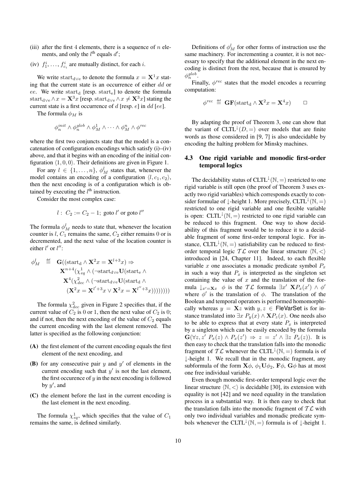- (iii) after the first 4 elements, there is a sequence of  $n$  elements, and only the  $l^{\text{th}}$  equals  $d'$ ;
- (iv)  $f_1^i, \ldots, f_{c_i}^i$  are mutually distinct, for each *i*.

We write start<sub>d∨e</sub> to denote the formula  $x = \mathbf{X}^{1}x$  stating that the current state is an occurrence of either dd or ee. We write start<sub>d</sub> [resp. start<sub>e</sub>] to denote the formula start<sub>d∨e</sub>  $\wedge x = \mathbf{X}^3 x$  [resp. start<sub>d∨e</sub>  $\wedge x \neq \mathbf{X}^3 x$ ] stating the current state is a first occurrence of  $d$  [resp.  $e$ ] in  $dd$  [ee].

The formula  $\phi_M$  is

$$
\phi_n^{init} \wedge \phi_n^{glob} \wedge \phi_M^1 \wedge \cdots \wedge \phi_M^n \wedge \phi^{rec}
$$

where the first two conjuncts state that the model is a concatenation of configuration encodings which satisfy (i)–(iv) above, and that it begins with an encoding of the initial configuration  $(1, 0, 0)$ . Their definitions are given in Figure 1.

For any  $l \in \{1, \ldots, n\}$ ,  $\phi_M^l$  states that, whenever the model contains an encoding of a configuration  $\langle l, c_1, c_2 \rangle$ , then the next encoding is of a configuration which is obtained by executing the  $l<sup>th</sup>$  instruction.

Consider the most complex case:

$$
l: C_2 := C_2 - 1; \text{goto } l' \text{ or go to } l''
$$

The formula  $\phi_M^l$  needs to state that, whenever the location counter is  $l, C_1$  remains the same,  $C_2$  either remains 0 or is decremented, and the next value of the location counter is either  $l'$  or  $l''$ :

$$
\phi_M^l \stackrel{\text{def}}{=} \mathbf{G}((\text{start}_d \wedge \mathbf{X}^2 x = \mathbf{X}^{l+3} x) \Rightarrow \mathbf{X}^{n+4} (\chi_{eq}^1 \wedge (\neg \text{start}_{d \vee e} \mathbf{U}(\text{start}_e \wedge \mathbf{X}^4 (\chi_{dec}^2 \wedge (\neg \text{start}_{d \vee e} \mathbf{U}(\text{start}_d \wedge (\mathbf{X}^2 x = \mathbf{X}^{l'+3} x \vee \mathbf{X}^2 x = \mathbf{X}^{l''+3} x))))))))
$$

The formula  $\chi^2_{dec}$  given in Figure 2 specifies that, if the current value of  $C_2$  is 0 or 1, then the next value of  $C_2$  is 0; and if not, then the next encoding of the value of  $C_2$  equals the current encoding with the last element removed. The latter is specified as the following conjunction:

- (A) the first element of the current encoding equals the first element of the next encoding, and
- (B) for any consecutive pair  $y$  and  $y'$  of elements in the current encoding such that  $y'$  is not the last element, the first occurence of  $y$  in the next encoding is followed by  $y'$ , and
- (C) the element before the last in the current encoding is the last element in the next encoding.

The formula  $\chi_{eq}^1$ , which specifies that the value of  $C_1$ remains the same, is defined similarly.

Definitions of  $\phi_M^l$  for other forms of instruction use the same machinery. For incrementing a counter, it is not necessary to specify that the additional element in the next encoding is distinct from the rest, because that is ensured by  $\phi_n^{glob}.$ 

Finally, φ*rec* states that the model encodes a recurring computation:

$$
\phi^{\text{rec}} \stackrel{\text{def}}{=} \mathbf{GF}(\text{start}_{d} \wedge \mathbf{X}^{2} x = \mathbf{X}^{4} x) \qquad \Box
$$

By adapting the proof of Theorem 3, one can show that the variant of  $CLTL^{\downarrow}(D, =)$  over models that are finite words as those considered in [9, 7] is also undecidable by encoding the halting problem for Minsky machines.

#### 4.3 One rigid variable and monodic first-order temporal logics

The decidability status of CLTL<sup> $\downarrow$ </sup>(N, =) restricted to one rigid variable is still open (the proof of Theorem 3 uses exactly two rigid variables) which corresponds exactly to consider formulae of  $\perp$ -height 1. More precisely, CLTL<sup> $\downarrow$ </sup>( $\mathbb{N}, =$ ) restricted to one rigid variable and one flexible variable is open: CLTL<sup> $\downarrow$ </sup>(N, =) restricted to one rigid variable can be reduced to this fragment. One way to show decidability of this fragment would be to reduce it to a decidable fragment of some first-order temporal logic. For instance, CLTL<sup> $\downarrow$ </sup>(N, =) satisfiability can be reduced to firstorder temporal logic  $\mathcal{TL}$  over the linear structure  $\langle \mathbb{N}, \langle \rangle$ introduced in [24, Chapter 11]. Indeed, to each flexible variable x one associates a monadic predicate symbol  $P_x$ in such a way that  $P_x$  is interpreted as the singleton set containing the value of  $x$  and the translation of the formula  $\downarrow_{x'=\mathbf{X}x} \phi$  is the  $\mathcal{TL}$  formula  $\exists x' \ \mathbf{X} P_x(x') \land \phi'$ where  $\phi'$  is the translation of  $\phi$ . The translation of the Boolean and temporal operators is performed homomorphically whereas  $y = \mathbf{X}z$  with  $y, z \in \text{FleVarSet}$  is for instance translated into  $\exists x P_y(x) \land \mathbf{X} P_z(x)$ . One needs also to be able to express that at every state  $P_x$  is interpreted by a singleton which can be easily encoded by the formula  $\mathbf{G}(\forall z, z' \; P_x(z) \land P_x(z') \Rightarrow z = z' \land \exists z \; P_x(z)$ ). It is then easy to check that the translation falls into the monodic fragment of  $T\mathcal{L}$  whenever the CLTL<sup> $\downarrow$ </sup>(N, =) formula is of ↓-height 1. We recall that in the monodic fragment, any subformula of the form  $\mathbf{X}\phi$ ,  $\phi_1\mathbf{U}\phi_2$ ,  $\mathbf{F}\phi$ ,  $\mathbf{G}\phi$  has at most one free individual variable.

Even though monodic first-order temporal logic over the linear structure  $\langle \mathbb{N}, \langle \rangle$  is decidable [30], its extension with equality is not [42] and we need equality in the translation process in a substantial way. It is then easy to check that the translation falls into the monodic fragment of  $T\mathcal{L}$  with only two individual variables and monadic predicate symbols whenever the CLTL<sup> $\downarrow$ </sup>(N, =) formula is of  $\downarrow$ -height 1.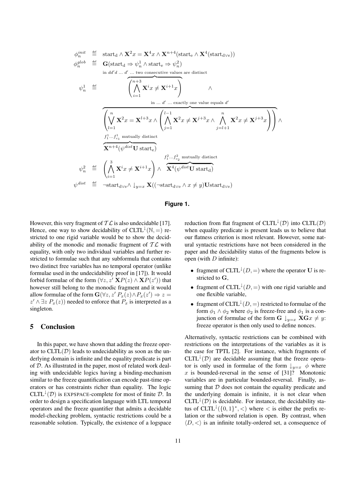$$
\begin{array}{rcl}\n\phi_n^{init} & \stackrel{\text{def}}{=} & \text{start}_d \wedge \mathbf{X}^2 x = \mathbf{X}^4 x \wedge \mathbf{X}^{n+4}(\text{start}_e \wedge \mathbf{X}^4(\text{start}_{d\vee e})) \\
\phi_n^{glob} & \stackrel{\text{def}}{=} & \mathbf{G}(\text{start}_d \Rightarrow \psi_n^1 \wedge \text{start}_e \Rightarrow \psi_n^2) \\
& \text{in } d d' d \dots d' \dots \text{two consecutive values are distinct} \\
\psi_n^1 & \stackrel{\text{def}}{=} & \left( \bigwedge_{i=1}^{n+3} \mathbf{X}^i x \neq \mathbf{X}^{i+1} x \right) \\
& \text{in } \dots d' \dots \text{exactly one value equals } d' \\
\hline\n\left( \bigvee_{l=1}^{n} \mathbf{X}^2 x = \mathbf{X}^{l+3} x \wedge \left( \bigwedge_{j=1}^{l-1} \mathbf{X}^2 x \neq \mathbf{X}^{j+3} x \wedge \bigwedge_{j=l+1}^{n} \mathbf{X}^2 x \neq \mathbf{X}^{j+3} x \right) \right) \wedge \\
f_1^1 \dots f_{c_1}^1 \text{ mutually distinct} \\
\hline\n\mathbf{X}^{n+4}(\psi^{dist} \mathbf{U} \text{ start}_e) \\
\psi_n^2 & \stackrel{\text{def}}{=} & \left( \bigwedge_{i=1}^{3} \mathbf{X}^i x \neq \mathbf{X}^{i+1} x \right) \wedge \overbrace{\mathbf{X}^4(\psi^{dist} \mathbf{U} \text{ start}_d)}^{f_1^2 \dots f_{c_2}^2 \text{ mutually distinct}} \\
\psi^{dist} & \stackrel{\text{def}}{=} \neg \text{start}_{d\vee e} \wedge \downarrow_{y=x} \mathbf{X}((\neg \text{start}_{d\vee e} \wedge x \neq y) \mathbf{U} \text{start}_{d\vee e})\n\end{array}
$$

#### **Figure 1.**

However, this very fragment of  $\mathcal{TL}$  is also undecidable [17]. Hence, one way to show decidability of CLTL<sup> $\downarrow$ </sup>(N, =) restricted to one rigid variable would be to show the decidability of the monodic and monadic fragment of  $\mathcal{TL}$  with equality, with only two individual variables and further restricted to formulae such that any subformula that contains two distinct free variables has no temporal operator (unlike formulae used in the undecidability proof in [17]). It would forbid formulae of the form  $(\forall z, z' \mathbf{X} P(z) \wedge \mathbf{X} P(z'))$  that however still belong to the monodic fragment and it would allow formulae of the form  $\mathbf{G}(\forall z, z' P_x(z) \land P_x(z') \Rightarrow z =$  $z' \wedge \exists z P_x(z)$  needed to enforce that  $P_x$  is interpreted as a singleton.

#### 5 Conclusion

In this paper, we have shown that adding the freeze operator to  $CLTL(\mathcal{D})$  leads to undecidability as soon as the underlying domain is infinite and the equality predicate is part of D. As illustrated in the paper, most of related work dealing with undecidable logics having a binding-mechanism similar to the freeze quantification can encode past-time operators or has constraints richer than equality. The logic CLTL<sup> $\downarrow$ </sup>(D) is EXPSPACE-complete for most of finite D. In order to design a specification language with LTL temporal operators and the freeze quantifier that admits a decidable model-checking problem, syntactic restrictions could be a reasonable solution. Typically, the existence of a logspace reduction from flat fragment of CLTL<sup> $\downarrow$ </sup>( $\mathcal{D}$ ) into CLTL( $\mathcal{D}$ ) when equality predicate is present leads us to believe that our flatness criterion is most relevant. However, some natural syntactic restrictions have not been considered in the paper and the decidability status of the fragments below is open (with  $D$  infinite):

- fragment of CLTL<sup> $\downarrow$ </sup>(*D*, =) where the operator **U** is restricted to G,
- fragment of  $CLTL^{\downarrow}(D, =)$  with one rigid variable and one flexible variable,
- fragment of CLTL<sup> $\downarrow$ </sup>(*D*, =) restricted to formulae of the form  $\phi_1 \wedge \phi_2$  where  $\phi_2$  is freeze-free and  $\phi_1$  is a conjunction of formulae of the form  $G \downarrow_{y=x} XGx \neq y$ : freeze operator is then only used to define nonces.

Alternatively, syntactic restrictions can be combined with restrictions on the interpretations of the variables as it is the case for TPTL [2]. For instance, which fragments of CLTL<sup> $\downarrow$ </sup>(D) are decidable assuming that the freeze operator is only used in formulae of the form  $\downarrow_{y=x} \phi$  where  $x$  is bounded-reversal in the sense of [31]? Monotonic variables are in particular bounded-reversal. Finally, assuming that  $D$  does not contain the equality predicate and the underlying domain is infinite, it is not clear when CLTL<sup> $\downarrow$ </sup>(D) is decidable. For instance, the decidability status of  $CLTL^{\downarrow}(\{0, 1\}^*, <)$  where  $<$  is either the prefix relation or the subword relation is open. By contrast, when  $\langle D, \langle \rangle$  is an infinite totally-ordered set, a consequence of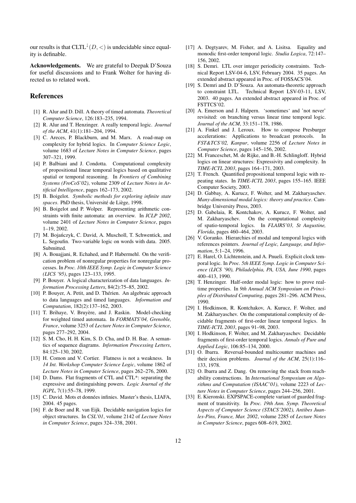our results is that  $CLTL^{\downarrow}(D, \leq)$  is undecidable since equality is definable.

Acknowledgements. We are grateful to Deepak D'Souza for useful discussions and to Frank Wolter for having directed us to related work.

#### References

- [1] R. Alur and D. Dill. A theory of timed automata. *Theoretical Computer Science*, 126:183–235, 1994.
- [2] R. Alur and T. Henzinger. A really temporal logic. *Journal of the ACM*, 41(1):181–204, 1994.
- [3] C. Areces, P. Blackburn, and M. Marx. A road-map on complexity for hybrid logics. In *Computer Science Logic*, volume 1683 of *Lecture Notes in Computer Science*, pages 307–321, 1999.
- [4] P. Balbiani and J. Condotta. Computational complexity of propositional linear temporal logics based on qualitative spatial or temporal reasoning. In *Frontiers of Combining Systems (FroCoS'02)*, volume 2309 of *Lecture Notes in Artificial Intelligence*, pages 162–173, 2002.
- [5] B. Boigelot. *Symbolic methods for exploring infinite state* spaces. PhD thesis, Université de Liège, 1998.
- [6] B. Boigelot and P. Wolper. Representing arithmetic constraints with finite automata: an overview. In *ICLP 2002*, volume 2401 of *Lecture Notes in Computer Science*, pages 1–19, 2002.
- [7] M. Bojańczyk, C. David, A. Muscholl, T. Schwentick, and L. Segoufin. Two-variable logic on words with data. 2005. Submitted.
- [8] A. Bouajjani, R. Echahed, and P. Habermehl. On the verification problem of nonregular properties for nonregular processes. In *Proc. 10th IEEE Symp. Logic in Computer Science (LICS '95)*, pages 123–133, 1995.
- [9] P. Bouyer. A logical characterization of data languages. *Information Processing Letters*, 84(2):75–85, 2002.
- [10] P. Bouyer, A. Petit, and D. Thérien. An algebraic approach to data languages and timed languages. *Information and Computation*, 182(2):137–162, 2003.
- [11] T. Brihaye, V. Bruyère, and J. Raskin. Model-checking for weighted timed automata. In *FORMATS'04, Grenoble, France*, volume 3253 of *Lecture Notes in Computer Science*, pages 277–292, 2004.
- [12] S. M. Cho, H. H. Kim, S. D. Cha, and D. H. Bae. A semantics of sequence diagrams. *Information Processing Letters*, 84:125–130, 2002.
- [13] H. Comon and V. Cortier. Flatness is not a weakness. In *14 Int. Workshop Computer Science Logic*, volume 1862 of *Lecture Notes in Computer Science*, pages 262–276, 2000.
- [14] D. Dams. Flat fragments of CTL and CTL<sup>\*</sup>: separating the expressive and distinguishing powers. *Logic Journal of the IGPL*, 7(1):55–78, 1999.
- [15] C. David. Mots et données infinies. Master's thesis, LIAFA, 2004. 45 pages.
- [16] F. de Boer and R. van Eijk. Decidable navigation logics for object structures. In *CSL'01*, volume 2142 of *Lecture Notes in Computer Science*, pages 324–338, 2001.
- [17] A. Degtyarev, M. Fisher, and A. Lisitsa. Equality and monodic first-order temporal logic. *Studia Logica*, 72:147– 156, 2002.
- [18] S. Demri. LTL over integer periodicity constraints. Technical Report LSV-04-6, LSV, February 2004. 35 pages. An extended abstract appeared in Proc. of FOSSACS'04.
- [19] S. Demri and D. D'Souza. An automata-theoretic approach to constraint LTL. Technical Report LSV-03-11, LSV, 2003. 40 pages. An extended abstract appeared in Proc. of FSTTCS'02.
- [20] A. Emerson and J. Halpern. 'sometimes' and 'not never' revisited: on branching versus linear time temporal logic. *Journal of the ACM*, 33:151–178, 1986.
- [21] A. Finkel and J. Leroux. How to compose Presburger accelerations: Applications to broadcast protocols. In *FST&TCS'02, Kanpur*, volume 2256 of *Lecture Notes in Computer Science*, pages 145–156, 2002.
- [22] M. Franceschet, M. de Rijke, and B.-H. Schlingloff. Hybrid logics on linear structures: Expressivity and complexity. In *TIME-ICTL 2003*, pages 164–171, 2003.
- [23] T. French. Quantified propositional temporal logic with repeating states. In *TIME-ICTL 2003*, pages 155–165. IEEE Computer Society, 2003.
- [24] D. Gabbay, A. Kurucz, F. Wolter, and M. Zakharyaschev. *Many-dimensional modal logics: theory and practice*. Cambridge University Press, 2003.
- [25] D. Gabelaia, R. Kontchakov, A. Kurucz, F. Wolter, and M. Zakharyaschev. On the computational complexity of spatio-temporal logics. In *FLAIRS'03, St Augustine, Florida*, pages 460–464, 2003.
- [26] V. Goranko. Hierarchies of modal and temporal logics with references pointers. *Journal of Logic, Language, and Information*, 5:1–24, 1996.
- [27] E. Harel, O. Lichtenstein, and A. Pnueli. Explicit clock temporal logic. In *Proc. 5th IEEE Symp. Logic in Computer Science (LICS '90), Philadelphia, PA, USA, June 1990*, pages 400–413, 1990.
- [28] T. Henzinger. Half-order modal logic: how to prove realtime properties. In *9th Annual ACM Symposium on Principles of Distributed Computing*, pages 281–296. ACM Press, 1990.
- [29] I. Hodkinson, R. Kontchakov, A. Kurucz, F. Wolter, and M. Zakharyaschev. On the computational complexity of decidable fragments of first-order linear temporal logics. In *TIME-ICTL 2003*, pages 91–98, 2003.
- [30] I. Hodkinson, F. Wolter, and M. Zakharyaschev. Decidable fragments of first-order temporal logics. *Annals of Pure and Applied Logic*, 106:85–134, 2000.
- [31] O. Ibarra. Reversal-bounded multicounter machines and their decision problems. *Journal of the ACM*, 25(1):116– 133, 1978.
- [32] O. Ibarra and Z. Dang. On removing the stack from reachability constructions. In *International Symposium on Algorithms and Computation (ISAAC'01)*, volume 2223 of *Lecture Notes in Computer Science*, pages 244–256, 2001.
- [33] E. Kieronski. EXPSPACE-complete variant of guarded fragment of transitivity. In *Proc. 19th Ann. Symp. Theoretical Aspects of Computer Science (STACS'2002), Antibes Juanles-Pins, France, Mar. 2002*, volume 2285 of *Lecture Notes in Computer Science*, pages 608–619, 2002.